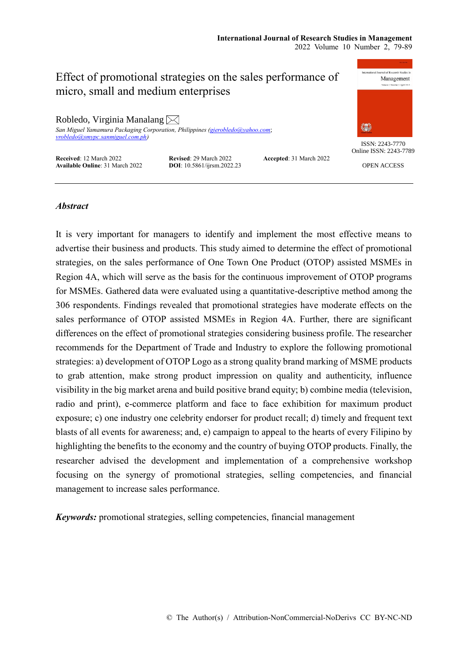# Effect of promotional strategies on the sales performance of micro, small and medium enterprises

Robledo, Virginia Manalang  $\boxtimes$ *San Miguel Yamamura Packaging Corporation, Philippines [\(gierobledo@yahoo.com](mailto:gierobledo@yahoo.com)*; *[vrobledo@smypc.sanmiguel.com.ph\)](mailto:vrobledo@smypc.sanmiguel.com.ph)*

**Received**: 12 March 2022 **Revised**: 29 March 2022 **Accepted**: 31 March 2022 **Available Online**: 31 March 2022 **DOI**: 10.5861/ijrsm.2022.23



ISSN: 2243-7770 Online ISSN: 2243-7789

OPEN ACCESS

## *Abstract*

It is very important for managers to identify and implement the most effective means to advertise their business and products. This study aimed to determine the effect of promotional strategies, on the sales performance of One Town One Product (OTOP) assisted MSMEs in Region 4A, which will serve as the basis for the continuous improvement of OTOP programs for MSMEs. Gathered data were evaluated using a quantitative-descriptive method among the 306 respondents. Findings revealed that promotional strategies have moderate effects on the sales performance of OTOP assisted MSMEs in Region 4A. Further, there are significant differences on the effect of promotional strategies considering business profile. The researcher recommends for the Department of Trade and Industry to explore the following promotional strategies: a) development of OTOP Logo as a strong quality brand marking of MSME products to grab attention, make strong product impression on quality and authenticity, influence visibility in the big market arena and build positive brand equity; b) combine media (television, radio and print), e-commerce platform and face to face exhibition for maximum product exposure; c) one industry one celebrity endorser for product recall; d) timely and frequent text blasts of all events for awareness; and, e) campaign to appeal to the hearts of every Filipino by highlighting the benefits to the economy and the country of buying OTOP products. Finally, the researcher advised the development and implementation of a comprehensive workshop focusing on the synergy of promotional strategies, selling competencies, and financial management to increase sales performance.

*Keywords:* promotional strategies, selling competencies, financial management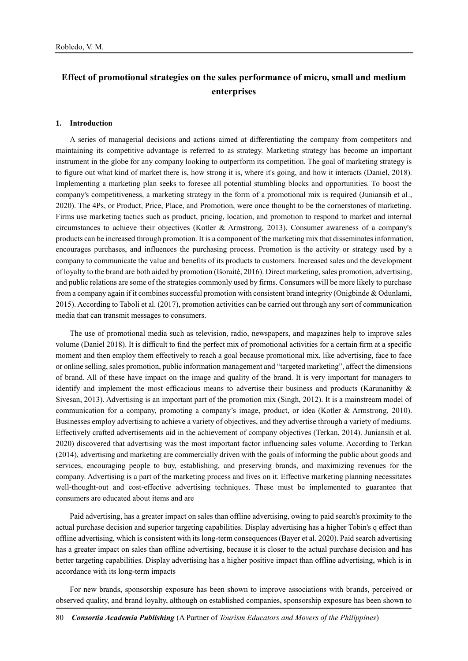## **Effect of promotional strategies on the sales performance of micro, small and medium enterprises**

#### **1. Introduction**

A series of managerial decisions and actions aimed at differentiating the company from competitors and maintaining its competitive advantage is referred to as strategy. Marketing strategy has become an important instrument in the globe for any company looking to outperform its competition. The goal of marketing strategy is to figure out what kind of market there is, how strong it is, where it's going, and how it interacts (Daniel, 2018). Implementing a marketing plan seeks to foresee all potential stumbling blocks and opportunities. To boost the company's competitiveness, a marketing strategy in the form of a promotional mix is required (Juniansih et al., 2020). The 4Ps, or Product, Price, Place, and Promotion, were once thought to be the cornerstones of marketing. Firms use marketing tactics such as product, pricing, location, and promotion to respond to market and internal circumstances to achieve their objectives (Kotler & Armstrong, 2013). Consumer awareness of a company's products can be increased through promotion. It is a component of the marketing mix that disseminates information, encourages purchases, and influences the purchasing process. Promotion is the activity or strategy used by a company to communicate the value and benefits of its products to customers. Increased sales and the development of loyalty to the brand are both aided by promotion (Išoraitė, 2016). Direct marketing, sales promotion, advertising, and public relations are some of the strategies commonly used by firms. Consumers will be more likely to purchase from a company again if it combines successful promotion with consistent brand integrity (Onigbinde & Odunlami, 2015). According to Taboli et al. (2017), promotion activities can be carried out through any sort of communication media that can transmit messages to consumers.

The use of promotional media such as television, radio, newspapers, and magazines help to improve sales volume (Daniel 2018). It is difficult to find the perfect mix of promotional activities for a certain firm at a specific moment and then employ them effectively to reach a goal because promotional mix, like advertising, face to face or online selling, sales promotion, public information management and "targeted marketing", affect the dimensions of brand. All of these have impact on the image and quality of the brand. It is very important for managers to identify and implement the most efficacious means to advertise their business and products (Karunanithy & Sivesan, 2013). Advertising is an important part of the promotion mix (Singh, 2012). It is a mainstream model of communication for a company, promoting a company's image, product, or idea (Kotler & Armstrong, 2010). Businesses employ advertising to achieve a variety of objectives, and they advertise through a variety of mediums. Effectively crafted advertisements aid in the achievement of company objectives (Terkan, 2014). Juniansih et al. 2020) discovered that advertising was the most important factor influencing sales volume. According to Terkan (2014), advertising and marketing are commercially driven with the goals of informing the public about goods and services, encouraging people to buy, establishing, and preserving brands, and maximizing revenues for the company. Advertising is a part of the marketing process and lives on it. Effective marketing planning necessitates well-thought-out and cost-effective advertising techniques. These must be implemented to guarantee that consumers are educated about items and are

Paid advertising, has a greater impact on sales than offline advertising, owing to paid search's proximity to the actual purchase decision and superior targeting capabilities. Display advertising has a higher Tobin's q effect than offline advertising, which is consistent with its long-term consequences (Bayer et al. 2020). Paid search advertising has a greater impact on sales than offline advertising, because it is closer to the actual purchase decision and has better targeting capabilities. Display advertising has a higher positive impact than offline advertising, which is in accordance with its long-term impacts

For new brands, sponsorship exposure has been shown to improve associations with brands, perceived or observed quality, and brand loyalty, although on established companies, sponsorship exposure has been shown to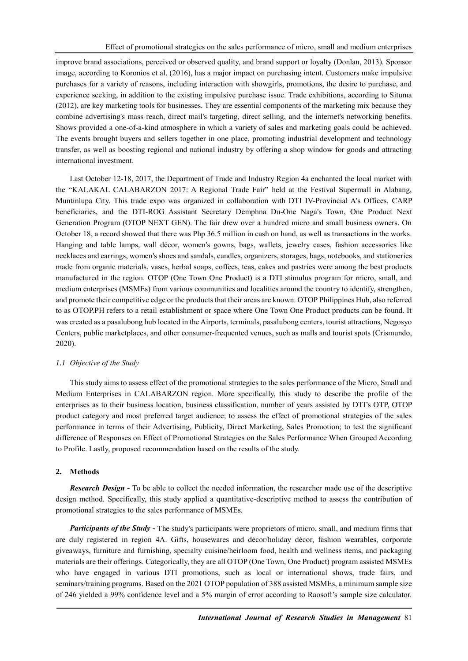improve brand associations, perceived or observed quality, and brand support or loyalty (Donlan, 2013). Sponsor image, according to Koronios et al. (2016), has a major impact on purchasing intent. Customers make impulsive purchases for a variety of reasons, including interaction with showgirls, promotions, the desire to purchase, and experience seeking, in addition to the existing impulsive purchase issue. Trade exhibitions, according to Situma (2012), are key marketing tools for businesses. They are essential components of the marketing mix because they combine advertising's mass reach, direct mail's targeting, direct selling, and the internet's networking benefits. Shows provided a one-of-a-kind atmosphere in which a variety of sales and marketing goals could be achieved. The events brought buyers and sellers together in one place, promoting industrial development and technology transfer, as well as boosting regional and national industry by offering a shop window for goods and attracting international investment.

Last October 12-18, 2017, the Department of Trade and Industry Region 4a enchanted the local market with the "KALAKAL CALABARZON 2017: A Regional Trade Fair" held at the Festival Supermall in Alabang, Muntinlupa City. This trade expo was organized in collaboration with DTI IV-Provincial A's Offices, CARP beneficiaries, and the DTI-ROG Assistant Secretary Demphna Du-One Naga's Town, One Product Next Generation Program (OTOP NEXT GEN). The fair drew over a hundred micro and small business owners. On October 18, a record showed that there was Php 36.5 million in cash on hand, as well as transactions in the works. Hanging and table lamps, wall décor, women's gowns, bags, wallets, jewelry cases, fashion accessories like necklaces and earrings, women's shoes and sandals, candles, organizers, storages, bags, notebooks, and stationeries made from organic materials, vases, herbal soaps, coffees, teas, cakes and pastries were among the best products manufactured in the region. OTOP (One Town One Product) is a DTI stimulus program for micro, small, and medium enterprises (MSMEs) from various communities and localities around the country to identify, strengthen, and promote their competitive edge or the products that their areas are known. OTOP Philippines Hub, also referred to as OTOP.PH refers to a retail establishment or space where One Town One Product products can be found. It was created as a pasalubong hub located in the Airports, terminals, pasalubong centers, tourist attractions, Negosyo Centers, public marketplaces, and other consumer-frequented venues, such as malls and tourist spots (Crismundo, 2020).

## *1.1 Objective of the Study*

This study aims to assess effect of the promotional strategies to the sales performance of the Micro, Small and Medium Enterprises in CALABARZON region. More specifically, this study to describe the profile of the enterprises as to their business location, business classification, number of years assisted by DTI's OTP, OTOP product category and most preferred target audience; to assess the effect of promotional strategies of the sales performance in terms of their Advertising, Publicity, Direct Marketing, Sales Promotion; to test the significant difference of Responses on Effect of Promotional Strategies on the Sales Performance When Grouped According to Profile. Lastly, proposed recommendation based on the results of the study.

## **2. Methods**

*Research Design -* To be able to collect the needed information, the researcher made use of the descriptive design method. Specifically, this study applied a quantitative-descriptive method to assess the contribution of promotional strategies to the sales performance of MSMEs.

*Participants of the Study* - The study's participants were proprietors of micro, small, and medium firms that are duly registered in region 4A. Gifts, housewares and décor/holiday décor, fashion wearables, corporate giveaways, furniture and furnishing, specialty cuisine/heirloom food, health and wellness items, and packaging materials are their offerings. Categorically, they are all OTOP (One Town, One Product) program assisted MSMEs who have engaged in various DTI promotions, such as local or international shows, trade fairs, and seminars/training programs. Based on the 2021 OTOP population of 388 assisted MSMEs, a minimum sample size of 246 yielded a 99% confidence level and a 5% margin of error according to Raosoft's sample size calculator.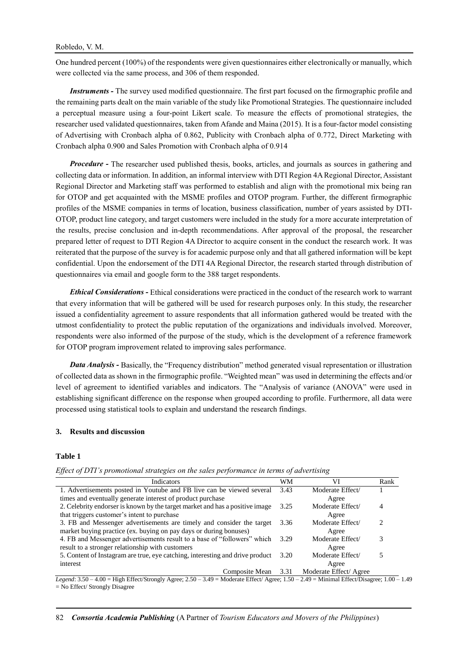One hundred percent (100%) of the respondents were given questionnaires either electronically or manually, which were collected via the same process, and 306 of them responded.

*Instruments -* The survey used modified questionnaire. The first part focused on the firmographic profile and the remaining parts dealt on the main variable of the study like Promotional Strategies. The questionnaire included a perceptual measure using a four-point Likert scale. To measure the effects of promotional strategies, the researcher used validated questionnaires, taken from Afande and Maina (2015). It is a four-factor model consisting of Advertising with Cronbach alpha of 0.862, Publicity with Cronbach alpha of 0.772, Direct Marketing with Cronbach alpha 0.900 and Sales Promotion with Cronbach alpha of 0.914

*Procedure -* The researcher used published thesis, books, articles, and journals as sources in gathering and collecting data or information. In addition, an informal interview with DTI Region 4A Regional Director, Assistant Regional Director and Marketing staff was performed to establish and align with the promotional mix being ran for OTOP and get acquainted with the MSME profiles and OTOP program. Further, the different firmographic profiles of the MSME companies in terms of location, business classification, number of years assisted by DTI-OTOP, product line category, and target customers were included in the study for a more accurate interpretation of the results, precise conclusion and in-depth recommendations. After approval of the proposal, the researcher prepared letter of request to DTI Region 4A Director to acquire consent in the conduct the research work. It was reiterated that the purpose of the survey is for academic purpose only and that all gathered information will be kept confidential. Upon the endorsement of the DTI 4A Regional Director, the research started through distribution of questionnaires via email and google form to the 388 target respondents.

*Ethical Considerations -* Ethical considerations were practiced in the conduct of the research work to warrant that every information that will be gathered will be used for research purposes only. In this study, the researcher issued a confidentiality agreement to assure respondents that all information gathered would be treated with the utmost confidentiality to protect the public reputation of the organizations and individuals involved. Moreover, respondents were also informed of the purpose of the study, which is the development of a reference framework for OTOP program improvement related to improving sales performance.

*Data Analysis -* Basically, the "Frequency distribution" method generated visual representation or illustration of collected data as shown in the firmographic profile. "Weighted mean" was used in determining the effects and/or level of agreement to identified variables and indicators. The "Analysis of variance (ANOVA" were used in establishing significant difference on the response when grouped according to profile. Furthermore, all data were processed using statistical tools to explain and understand the research findings.

#### **3. Results and discussion**

#### **Table 1**

*Effect of DTI's promotional strategies on the sales performance in terms of advertising*

| Indicators                                                                    | WМ   | VI                    | Rank |
|-------------------------------------------------------------------------------|------|-----------------------|------|
| 1. Advertisements posted in Youtube and FB live can be viewed several 3.43    |      | Moderate Effect/      |      |
| times and eventually generate interest of product purchase                    |      | Agree                 |      |
| 2. Celebrity endorser is known by the target market and has a positive image  | 3.25 | Moderate Effect/      | 4    |
| that triggers customer's intent to purchase                                   |      | Agree                 |      |
| 3. FB and Messenger advertisements are timely and consider the target         |      | Moderate Effect/      | 2    |
| market buying practice (ex. buying on pay days or during bonuses)             |      | Agree                 |      |
| 4. FB and Messenger advertisements result to a base of "followers" which      | 3.29 | Moderate Effect/      | 3    |
| result to a stronger relationship with customers                              |      | Agree                 |      |
| 5. Content of Instagram are true, eye catching, interesting and drive product |      | Moderate Effect/      |      |
| interest                                                                      |      | Agree                 |      |
| Composite Mean                                                                | 3.31 | Moderate Effect/Agree |      |

*Legend*: 3.50 – 4.00 = High Effect/Strongly Agree; 2.50 – 3.49 = Moderate Effect/ Agree; 1.50 – 2.49 = Minimal Effect/Disagree; 1.00 – 1.49 = No Effect/ Strongly Disagree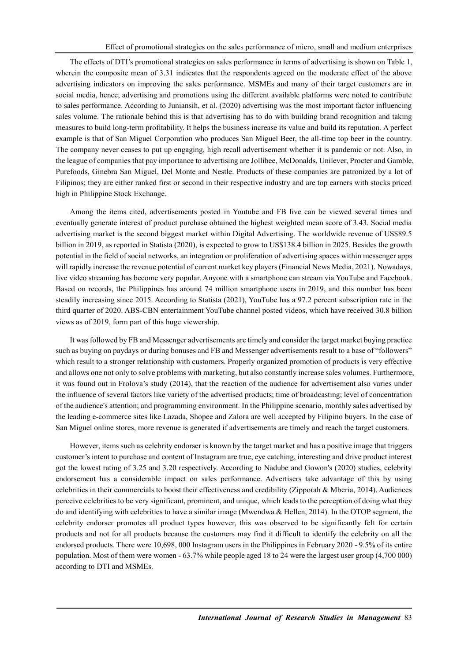The effects of DTI's promotional strategies on sales performance in terms of advertising is shown on Table 1, wherein the composite mean of 3.31 indicates that the respondents agreed on the moderate effect of the above advertising indicators on improving the sales performance. MSMEs and many of their target customers are in social media, hence, advertising and promotions using the different available platforms were noted to contribute to sales performance. According to Juniansih, et al. (2020) advertising was the most important factor influencing sales volume. The rationale behind this is that advertising has to do with building brand recognition and taking measures to build long-term profitability. It helps the business increase its value and build its reputation. A perfect example is that of San Miguel Corporation who produces San Miguel Beer, the all-time top beer in the country. The company never ceases to put up engaging, high recall advertisement whether it is pandemic or not. Also, in the league of companies that pay importance to advertising are Jollibee, McDonalds, Unilever, Procter and Gamble, Purefoods, Ginebra San Miguel, Del Monte and Nestle. Products of these companies are patronized by a lot of Filipinos; they are either ranked first or second in their respective industry and are top earners with stocks priced high in Philippine Stock Exchange.

Among the items cited, advertisements posted in Youtube and FB live can be viewed several times and eventually generate interest of product purchase obtained the highest weighted mean score of 3.43. Social media advertising market is the second biggest market within Digital Advertising. The worldwide revenue of US\$89.5 billion in 2019, as reported in Statista (2020), is expected to grow to US\$138.4 billion in 2025. Besides the growth potential in the field of social networks, an integration or proliferation of advertising spaces within messenger apps will rapidly increase the revenue potential of current market key players (Financial News Media, 2021). Nowadays, live video streaming has become very popular. Anyone with a smartphone can stream via YouTube and Facebook. Based on records, the Philippines has around 74 million smartphone users in 2019, and this number has been steadily increasing since 2015. According to Statista (2021), YouTube has a 97.2 percent subscription rate in the third quarter of 2020. ABS-CBN entertainment YouTube channel posted videos, which have received 30.8 billion views as of 2019, form part of this huge viewership.

It was followed by FB and Messenger advertisements are timely and consider the target market buying practice such as buying on paydays or during bonuses and FB and Messenger advertisements result to a base of "followers" which result to a stronger relationship with customers. Properly organized promotion of products is very effective and allows one not only to solve problems with marketing, but also constantly increase sales volumes. Furthermore, it was found out in Frolova's study (2014), that the reaction of the audience for advertisement also varies under the influence of several factors like variety of the advertised products; time of broadcasting; level of concentration of the audience's attention; and programming environment. In the Philippine scenario, monthly sales advertised by the leading e-commerce sites like Lazada, Shopee and Zalora are well accepted by Filipino buyers. In the case of San Miguel online stores, more revenue is generated if advertisements are timely and reach the target customers.

However, items such as celebrity endorser is known by the target market and has a positive image that triggers customer's intent to purchase and content of Instagram are true, eye catching, interesting and drive product interest got the lowest rating of 3.25 and 3.20 respectively. According to Nadube and Gowon's (2020) studies, celebrity endorsement has a considerable impact on sales performance. Advertisers take advantage of this by using celebrities in their commercials to boost their effectiveness and credibility (Zipporah & Mberia, 2014). Audiences perceive celebrities to be very significant, prominent, and unique, which leads to the perception of doing what they do and identifying with celebrities to have a similar image (Mwendwa & Hellen, 2014). In the OTOP segment, the celebrity endorser promotes all product types however, this was observed to be significantly felt for certain products and not for all products because the customers may find it difficult to identify the celebrity on all the endorsed products. There were 10,698, 000 Instagram users in the Philippines in February 2020 - 9.5% of its entire population. Most of them were women - 63.7% while people aged 18 to 24 were the largest user group (4,700 000) according to DTI and MSMEs.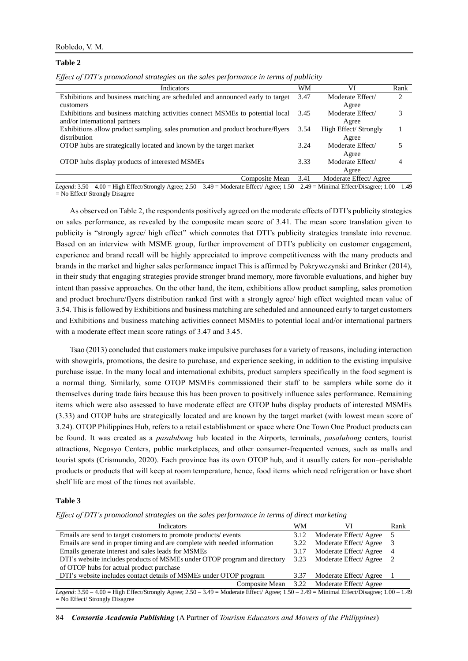#### Robledo, V. M.

#### **Table 2**

| Effect of DTI's promotional strategies on the sales performance in terms of publicity |  |  |  |  |  |  |  |  |  |
|---------------------------------------------------------------------------------------|--|--|--|--|--|--|--|--|--|
|---------------------------------------------------------------------------------------|--|--|--|--|--|--|--|--|--|

| Indicators                                                                      | WM   | VI                    | Rank                          |
|---------------------------------------------------------------------------------|------|-----------------------|-------------------------------|
| Exhibitions and business matching are scheduled and announced early to target   | 3.47 | Moderate Effect/      | $\mathfrak{D}_{\mathfrak{p}}$ |
| customers                                                                       |      | Agree                 |                               |
| Exhibitions and business matching activities connect MSMEs to potential local   | 3.45 | Moderate Effect/      | 3                             |
| and/or international partners                                                   |      | Agree                 |                               |
| Exhibitions allow product sampling, sales promotion and product brochure/flyers | 3.54 | High Effect/ Strongly |                               |
| distribution                                                                    |      | Agree                 |                               |
| OTOP hubs are strategically located and known by the target market              | 3.24 | Moderate Effect/      |                               |
|                                                                                 |      | Agree                 |                               |
| OTOP hubs display products of interested MSMEs                                  | 3.33 | Moderate Effect/      |                               |
|                                                                                 |      | Agree                 |                               |
| Composite Mean                                                                  | 3.41 | Moderate Effect/Agree |                               |

*Legend*: 3.50 – 4.00 = High Effect/Strongly Agree; 2.50 – 3.49 = Moderate Effect/ Agree; 1.50 – 2.49 = Minimal Effect/Disagree; 1.00 – 1.49  $=$  No Effect/ Strongly Disagree

As observed on Table 2, the respondents positively agreed on the moderate effects of DTI's publicity strategies on sales performance, as revealed by the composite mean score of 3.41. The mean score translation given to publicity is "strongly agree/ high effect" which connotes that DTI's publicity strategies translate into revenue. Based on an interview with MSME group, further improvement of DTI's publicity on customer engagement, experience and brand recall will be highly appreciated to improve competitiveness with the many products and brands in the market and higher sales performance impact This is affirmed by Pokrywczynski and Brinker (2014), in their study that engaging strategies provide stronger brand memory, more favorable evaluations, and higher buy intent than passive approaches. On the other hand, the item, exhibitions allow product sampling, sales promotion and product brochure/flyers distribution ranked first with a strongly agree/ high effect weighted mean value of 3.54. This is followed by Exhibitions and business matching are scheduled and announced early to target customers and Exhibitions and business matching activities connect MSMEs to potential local and/or international partners with a moderate effect mean score ratings of 3.47 and 3.45.

Tsao (2013) concluded that customers make impulsive purchases for a variety of reasons, including interaction with showgirls, promotions, the desire to purchase, and experience seeking, in addition to the existing impulsive purchase issue. In the many local and international exhibits, product samplers specifically in the food segment is a normal thing. Similarly, some OTOP MSMEs commissioned their staff to be samplers while some do it themselves during trade fairs because this has been proven to positively influence sales performance. Remaining items which were also assessed to have moderate effect are OTOP hubs display products of interested MSMEs (3.33) and OTOP hubs are strategically located and are known by the target market (with lowest mean score of 3.24). OTOP Philippines Hub, refers to a retail establishment or space where One Town One Product products can be found. It was created as a *pasalubong* hub located in the Airports, terminals, *pasalubong* centers, tourist attractions, Negosyo Centers, public marketplaces, and other consumer-frequented venues, such as malls and tourist spots (Crismundo, 2020). Each province has its own OTOP hub, and it usually caters for non–perishable products or products that will keep at room temperature, hence, food items which need refrigeration or have short shelf life are most of the times not available.

#### **Table 3**

*Effect of DTI's promotional strategies on the sales performance in terms of direct marketing*

| Indicators                                                                                                                                         | WМ   | VI                                        | Rank           |  |
|----------------------------------------------------------------------------------------------------------------------------------------------------|------|-------------------------------------------|----------------|--|
| Emails are send to target customers to promote products/events                                                                                     | 3.12 | Moderate Effect/Agree                     |                |  |
| Emails are send in proper timing and are complete with needed information                                                                          | 3.22 | Moderate Effect/Agree                     |                |  |
| Emails generate interest and sales leads for MSMEs                                                                                                 | 3.17 | Moderate Effect/Agree                     | $\overline{4}$ |  |
| DTI's website includes products of MSMEs under OTOP program and directory                                                                          | 3.23 | Moderate Effect/Agree                     |                |  |
| of OTOP hubs for actual product purchase                                                                                                           |      |                                           |                |  |
| DTI's website includes contact details of MSMEs under OTOP program                                                                                 | 3.37 | Moderate Effect/Agree                     |                |  |
|                                                                                                                                                    |      | Composite Mean 3.22 Moderate Effect/Agree |                |  |
| Legend: $3.50 - 4.00 =$ High Effect/Strongly Agree; $2.50 - 3.49 =$ Moderate Effect/ Agree; $1.50 - 2.49 =$ Minimal Effect/Disagree; $1.00 - 1.49$ |      |                                           |                |  |

= No Effect/ Strongly Disagree

84 *Consortia Academia Publishing* (A Partner of *Tourism Educators and Movers of the Philippines*)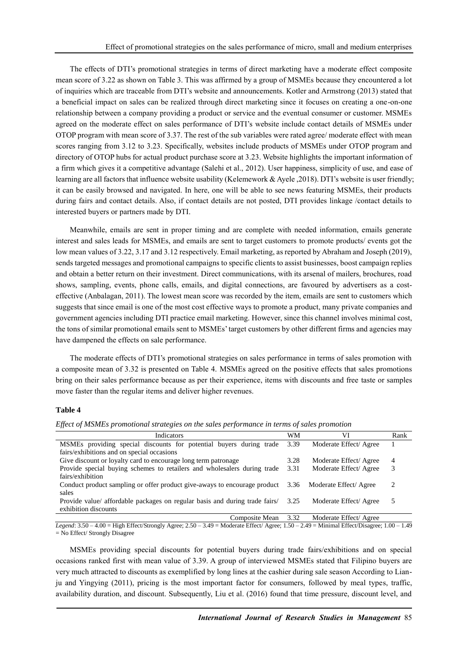The effects of DTI's promotional strategies in terms of direct marketing have a moderate effect composite mean score of 3.22 as shown on Table 3. This was affirmed by a group of MSMEs because they encountered a lot of inquiries which are traceable from DTI's website and announcements. Kotler and Armstrong (2013) stated that a beneficial impact on sales can be realized through direct marketing since it focuses on creating a one-on-one relationship between a company providing a product or service and the eventual consumer or customer. MSMEs agreed on the moderate effect on sales performance of DTI's website include contact details of MSMEs under OTOP program with mean score of 3.37. The rest of the sub variables were rated agree/ moderate effect with mean scores ranging from 3.12 to 3.23. Specifically, websites include products of MSMEs under OTOP program and directory of OTOP hubs for actual product purchase score at 3.23. Website highlights the important information of a firm which gives it a competitive advantage (Salehi et al., 2012). User happiness, simplicity of use, and ease of learning are all factors that influence website usability (Kelemework & Ayele ,2018). DTI's website is user friendly; it can be easily browsed and navigated. In here, one will be able to see news featuring MSMEs, their products during fairs and contact details. Also, if contact details are not posted, DTI provides linkage /contact details to interested buyers or partners made by DTI.

Meanwhile, emails are sent in proper timing and are complete with needed information, emails generate interest and sales leads for MSMEs, and emails are sent to target customers to promote products/ events got the low mean values of 3.22, 3.17 and 3.12 respectively. Email marketing, as reported by Abraham and Joseph (2019), sends targeted messages and promotional campaigns to specific clients to assist businesses, boost campaign replies and obtain a better return on their investment. Direct communications, with its arsenal of mailers, brochures, road shows, sampling, events, phone calls, emails, and digital connections, are favoured by advertisers as a costeffective (Anbalagan, 2011). The lowest mean score was recorded by the item, emails are sent to customers which suggests that since email is one of the most cost effective ways to promote a product, many private companies and government agencies including DTI practice email marketing. However, since this channel involves minimal cost, the tons of similar promotional emails sent to MSMEs' target customers by other different firms and agencies may have dampened the effects on sale performance.

The moderate effects of DTI's promotional strategies on sales performance in terms of sales promotion with a composite mean of 3.32 is presented on Table 4. MSMEs agreed on the positive effects that sales promotions bring on their sales performance because as per their experience, items with discounts and free taste or samples move faster than the regular items and deliver higher revenues.

### **Table 4**

| Indicators                                                                     | WМ   | VI                     | Rank |
|--------------------------------------------------------------------------------|------|------------------------|------|
| MSMEs providing special discounts for potential buyers during trade            | 3.39 | Moderate Effect/Agree  |      |
| fairs/exhibitions and on special occasions                                     |      |                        |      |
| Give discount or loyalty card to encourage long term patronage                 | 3.28 | Moderate Effect/Agree  | 4    |
| Provide special buying schemes to retailers and wholesalers during trade       | 3.31 | Moderate Effect/Agree  | 3    |
| fairs/exhibition                                                               |      |                        |      |
| Conduct product sampling or offer product give-aways to encourage product 3.36 |      | Moderate Effect/ Agree |      |
| sales                                                                          |      |                        |      |
| Provide value/ affordable packages on regular basis and during trade fairs/    | 3.25 | Moderate Effect/Agree  |      |
| exhibition discounts                                                           |      |                        |      |
| Composite Mean                                                                 | 3.32 | Moderate Effect/Agree  |      |

*Effect of MSMEs promotional strategies on the sales performance in terms of sales promotion*

*Legend*: 3.50 – 4.00 = High Effect/Strongly Agree; 2.50 – 3.49 = Moderate Effect/ Agree; 1.50 – 2.49 = Minimal Effect/Disagree; 1.00 – 1.49 = No Effect/ Strongly Disagree

MSMEs providing special discounts for potential buyers during trade fairs/exhibitions and on special occasions ranked first with mean value of 3.39. A group of interviewed MSMEs stated that Filipino buyers are very much attracted to discounts as exemplified by long lines at the cashier during sale season According to Lianju and Yingying (2011), pricing is the most important factor for consumers, followed by meal types, traffic, availability duration, and discount. Subsequently, Liu et al. (2016) found that time pressure, discount level, and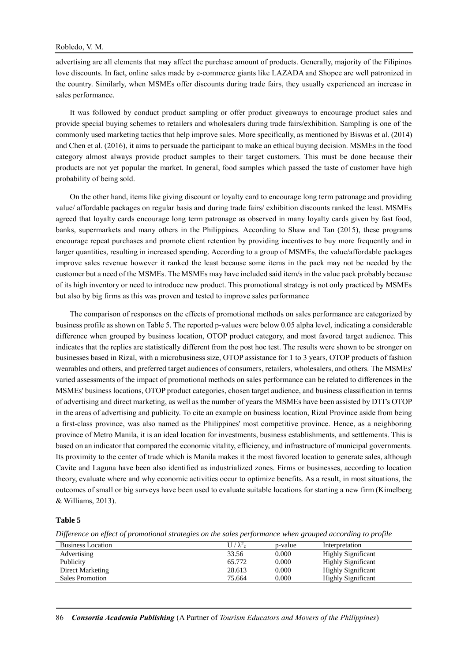#### Robledo, V. M.

advertising are all elements that may affect the purchase amount of products. Generally, majority of the Filipinos love discounts. In fact, online sales made by e-commerce giants like LAZADA and Shopee are well patronized in the country. Similarly, when MSMEs offer discounts during trade fairs, they usually experienced an increase in sales performance.

It was followed by conduct product sampling or offer product giveaways to encourage product sales and provide special buying schemes to retailers and wholesalers during trade fairs/exhibition. Sampling is one of the commonly used marketing tactics that help improve sales. More specifically, as mentioned by Biswas et al. (2014) and Chen et al. (2016), it aims to persuade the participant to make an ethical buying decision. MSMEs in the food category almost always provide product samples to their target customers. This must be done because their products are not yet popular the market. In general, food samples which passed the taste of customer have high probability of being sold.

On the other hand, items like giving discount or loyalty card to encourage long term patronage and providing value/ affordable packages on regular basis and during trade fairs/ exhibition discounts ranked the least. MSMEs agreed that loyalty cards encourage long term patronage as observed in many loyalty cards given by fast food, banks, supermarkets and many others in the Philippines. According to Shaw and Tan (2015), these programs encourage repeat purchases and promote client retention by providing incentives to buy more frequently and in larger quantities, resulting in increased spending. According to a group of MSMEs, the value/affordable packages improve sales revenue however it ranked the least because some items in the pack may not be needed by the customer but a need of the MSMEs. The MSMEs may have included said item/s in the value pack probably because of its high inventory or need to introduce new product. This promotional strategy is not only practiced by MSMEs but also by big firms as this was proven and tested to improve sales performance

The comparison of responses on the effects of promotional methods on sales performance are categorized by business profile as shown on Table 5. The reported p-values were below 0.05 alpha level, indicating a considerable difference when grouped by business location, OTOP product category, and most favored target audience. This indicates that the replies are statistically different from the post hoc test. The results were shown to be stronger on businesses based in Rizal, with a microbusiness size, OTOP assistance for 1 to 3 years, OTOP products of fashion wearables and others, and preferred target audiences of consumers, retailers, wholesalers, and others. The MSMEs' varied assessments of the impact of promotional methods on sales performance can be related to differences in the MSMEs' business locations, OTOP product categories, chosen target audience, and business classification in terms of advertising and direct marketing, as well as the number of years the MSMEs have been assisted by DTI's OTOP in the areas of advertising and publicity. To cite an example on business location, Rizal Province aside from being a first-class province, was also named as the Philippines' most competitive province. Hence, as a neighboring province of Metro Manila, it is an ideal location for investments, business establishments, and settlements. This is based on an indicator that compared the economic vitality, efficiency, and infrastructure of municipal governments. Its proximity to the center of trade which is Manila makes it the most favored location to generate sales, although Cavite and Laguna have been also identified as industrialized zones. Firms or businesses, according to location theory, evaluate where and why economic activities occur to optimize benefits. As a result, in most situations, the outcomes of small or big surveys have been used to evaluate suitable locations for starting a new firm (Kimelberg & Williams, 2013).

#### **Table 5**

*Difference on effect of promotional strategies on the sales performance when grouped according to profile*

| <b>Business Location</b> | $U/\lambda_c^2$ | p-value | Interpretation            |  |
|--------------------------|-----------------|---------|---------------------------|--|
| Advertising              | 33.56           | 0.000   | <b>Highly Significant</b> |  |
| Publicity                | 65.772          | 0.000   | <b>Highly Significant</b> |  |
| Direct Marketing         | 28.613          | 0.000   | <b>Highly Significant</b> |  |
| <b>Sales Promotion</b>   | 75.664          | 0.000   | <b>Highly Significant</b> |  |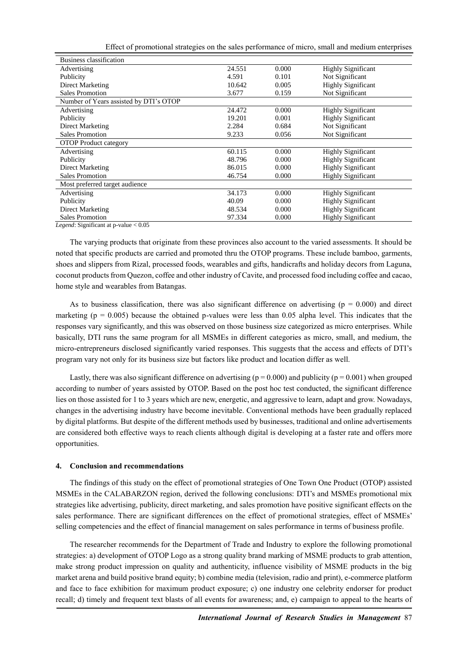Effect of promotional strategies on the sales performance of micro, small and medium enterprises

| Business classification                |        |       |                           |
|----------------------------------------|--------|-------|---------------------------|
| Advertising                            | 24.551 | 0.000 | <b>Highly Significant</b> |
| Publicity                              | 4.591  | 0.101 | Not Significant           |
| Direct Marketing                       | 10.642 | 0.005 | <b>Highly Significant</b> |
| Sales Promotion                        | 3.677  | 0.159 | Not Significant           |
| Number of Years assisted by DTI's OTOP |        |       |                           |
| Advertising                            | 24.472 | 0.000 | <b>Highly Significant</b> |
| Publicity                              | 19.201 | 0.001 | <b>Highly Significant</b> |
| Direct Marketing                       | 2.284  | 0.684 | Not Significant           |
| <b>Sales Promotion</b>                 | 9.233  | 0.056 | Not Significant           |
| <b>OTOP</b> Product category           |        |       |                           |
| Advertising                            | 60.115 | 0.000 | <b>Highly Significant</b> |
| Publicity                              | 48.796 | 0.000 | <b>Highly Significant</b> |
| Direct Marketing                       | 86.015 | 0.000 | <b>Highly Significant</b> |
| <b>Sales Promotion</b>                 | 46.754 | 0.000 | <b>Highly Significant</b> |
| Most preferred target audience         |        |       |                           |
| Advertising                            | 34.173 | 0.000 | <b>Highly Significant</b> |
| Publicity                              | 40.09  | 0.000 | <b>Highly Significant</b> |
| Direct Marketing                       | 48.534 | 0.000 | <b>Highly Significant</b> |
| <b>Sales Promotion</b>                 | 97.334 | 0.000 | <b>Highly Significant</b> |
| 0.07                                   |        |       |                           |

*Legend*: Significant at p-value < 0.05

The varying products that originate from these provinces also account to the varied assessments. It should be noted that specific products are carried and promoted thru the OTOP programs. These include bamboo, garments, shoes and slippers from Rizal, processed foods, wearables and gifts, handicrafts and holiday decors from Laguna, coconut products from Quezon, coffee and other industry of Cavite, and processed food including coffee and cacao, home style and wearables from Batangas.

As to business classification, there was also significant difference on advertising ( $p = 0.000$ ) and direct marketing ( $p = 0.005$ ) because the obtained p-values were less than 0.05 alpha level. This indicates that the responses vary significantly, and this was observed on those business size categorized as micro enterprises. While basically, DTI runs the same program for all MSMEs in different categories as micro, small, and medium, the micro-entrepreneurs disclosed significantly varied responses. This suggests that the access and effects of DTI's program vary not only for its business size but factors like product and location differ as well.

Lastly, there was also significant difference on advertising ( $p = 0.000$ ) and publicity ( $p = 0.001$ ) when grouped according to number of years assisted by OTOP. Based on the post hoc test conducted, the significant difference lies on those assisted for 1 to 3 years which are new, energetic, and aggressive to learn, adapt and grow. Nowadays, changes in the advertising industry have become inevitable. Conventional methods have been gradually replaced by digital platforms. But despite of the different methods used by businesses, traditional and online advertisements are considered both effective ways to reach clients although digital is developing at a faster rate and offers more opportunities.

#### **4. Conclusion and recommendations**

The findings of this study on the effect of promotional strategies of One Town One Product (OTOP) assisted MSMEs in the CALABARZON region, derived the following conclusions: DTI's and MSMEs promotional mix strategies like advertising, publicity, direct marketing, and sales promotion have positive significant effects on the sales performance. There are significant differences on the effect of promotional strategies, effect of MSMEs' selling competencies and the effect of financial management on sales performance in terms of business profile.

The researcher recommends for the Department of Trade and Industry to explore the following promotional strategies: a) development of OTOP Logo as a strong quality brand marking of MSME products to grab attention, make strong product impression on quality and authenticity, influence visibility of MSME products in the big market arena and build positive brand equity; b) combine media (television, radio and print), e-commerce platform and face to face exhibition for maximum product exposure; c) one industry one celebrity endorser for product recall; d) timely and frequent text blasts of all events for awareness; and, e) campaign to appeal to the hearts of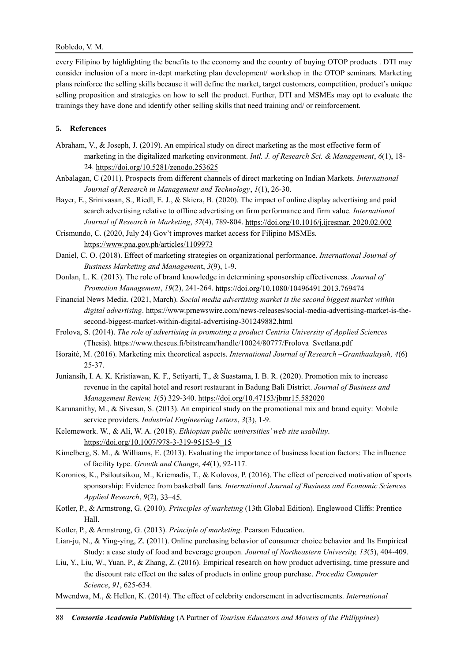## Robledo, V. M.

every Filipino by highlighting the benefits to the economy and the country of buying OTOP products . DTI may consider inclusion of a more in-dept marketing plan development/ workshop in the OTOP seminars. Marketing plans reinforce the selling skills because it will define the market, target customers, competition, product's unique selling proposition and strategies on how to sell the product. Further, DTI and MSMEs may opt to evaluate the trainings they have done and identify other selling skills that need training and/ or reinforcement.

## **5. References**

- Abraham, V., & Joseph, J. (2019). An empirical study on direct marketing as the most effective form of marketing in the digitalized marketing environment. *Intl. J. of Research Sci. & Management*, *6*(1), 18- 24. <https://doi.org/10.5281/zenodo.253625>
- Anbalagan, C (2011). Prospects from different channels of direct marketing on Indian Markets. *International Journal of Research in Management and Technology*, *1*(1), 26-30.
- Bayer, E., Srinivasan, S., Riedl, E. J., & Skiera, B. (2020). The impact of online display advertising and paid search advertising relative to offline advertising on firm performance and firm value. *International Journal of Research in Marketing*, *37*(4), 789-804. [https://doi.org/10.1016/j.ijresmar. 2020.02.002](https://doi.org/10.1016/j.ijresmar.%202020.02.002)
- Crismundo, C. (2020, July 24) Gov't improves market access for Filipino MSMEs. <https://www.pna.gov.ph/articles/1109973>
- Daniel, C. O. (2018). Effect of marketing strategies on organizational performance. *International Journal of Business Marketing and Managemen*t, *3*(9), 1-9.
- Donlan, L. K. (2013). The role of brand knowledge in determining sponsorship effectiveness. *Journal of Promotion Management*, *19*(2), 241-264. <https://doi.org/10.1080/10496491.2013.769474>
- Financial News Media. (2021, March). *Social media advertising market is the second biggest market within digital advertising*[. https://www.prnewswire.com/news-releases/social-media-advertising-market-is-the](https://www.prnewswire.com/news-releases/social-media-advertising-market-is-the-second-biggest-market-within-digital-advertising-301249882.html)[second-biggest-market-within-digital-advertising-301249882.html](https://www.prnewswire.com/news-releases/social-media-advertising-market-is-the-second-biggest-market-within-digital-advertising-301249882.html)
- Frolova, S. (2014). *The role of advertising in promoting a product Centria University of Applied Sciences* (Thesis). [https://www.theseus.fi/bitstream/handle/10024/80777/Frolova\\_Svetlana.pdf](https://www.theseus.fi/bitstream/handle/10024/80777/Frolova_Svetlana.pdf)
- Išoraitė, M. (2016). Marketing mix theoretical aspects. *International Journal of Research –Granthaalayah, 4*(6) 25-37.
- Juniansih, I. A. K. Kristiawan, K. F., Setiyarti, T., & Suastama, I. B. R. (2020). Promotion mix to increase revenue in the capital hotel and resort restaurant in Badung Bali District. *Journal of Business and Management Review, 1*(5) 329-340. <https://doi.org/10.47153/jbmr15.582020>
- Karunanithy, M., & Sivesan, S. (2013). An empirical study on the promotional mix and brand equity: Mobile service providers. *Industrial Engineering Letters*, *3*(3), 1-9.
- Kelemework. W., & Ali, W. A. (2018). *Ethiopian public universities' web site usability*. [https://doi.org/10.1007/978-3-319-95153-9\\_15](https://doi.org/10.1007/978-3-319-95153-9_15)
- Kimelberg, S. M., & Williams, E. (2013). Evaluating the importance of business location factors: The influence of facility type. *Growth and Change*, *44*(1), 92-117.
- Koronios, K., Psiloutsikou, M., Kriemadis, T., & Kolovos, P. (2016). The effect of perceived motivation of sports sponsorship: Evidence from basketball fans. *International Journal of Business and Economic Sciences Applied Research*, *9*(2), 33–45.
- Kotler, P., & Armstrong, G. (2010). *Principles of marketing* (13th Global Edition). Englewood Cliffs: Prentice Hall.
- Kotler, P., & Armstrong, G. (2013). *Principle of marketing*. Pearson Education.
- Lian-ju, N., & Ying-ying, Z. (2011). Online purchasing behavior of consumer choice behavior and Its Empirical Study: a case study of food and beverage groupon. *Journal of Northeastern University, 13*(5), 404-409.
- Liu, Y., Liu, W., Yuan, P., & Zhang, Z. (2016). Empirical research on how product advertising, time pressure and the discount rate effect on the sales of products in online group purchase. *Procedia Computer Science*, *91*, 625-634.
- Mwendwa, M., & Hellen, K. (2014). The effect of celebrity endorsement in advertisements. *International*